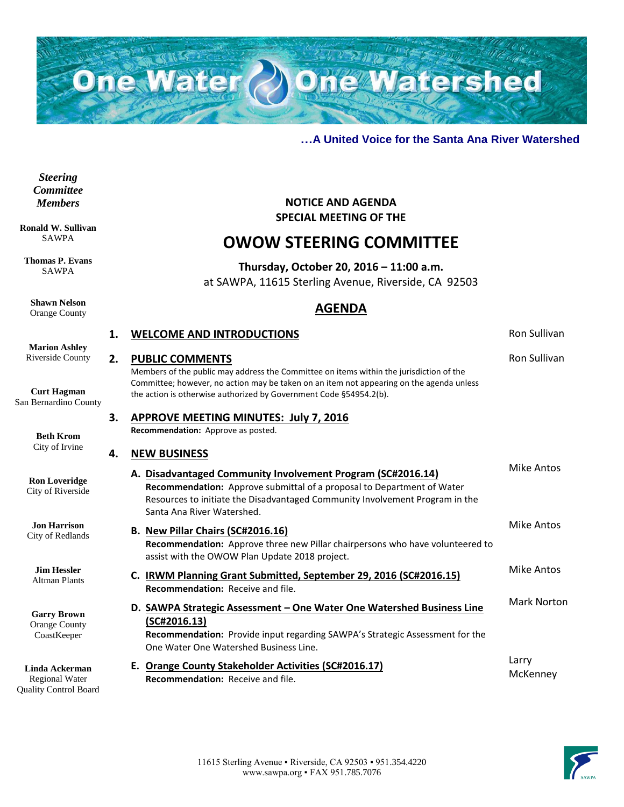

### **…A United Voice for the Santa Ana River Watershed**

*Steering Committee Members*

**Ronald W. Sullivan** SAWPA

**Thomas P. Evans** SAWPA

**Shawn Nelson** Orange County

**SPECIAL MEETING OF THE OWOW STEERING COMMITTEE**

**NOTICE AND AGENDA**

# **Thursday, October 20, 2016 – 11:00 a.m.**

at SAWPA, 11615 Sterling Avenue, Riverside, CA 92503

## **AGENDA**

|                                                                         | 1. | <b>WELCOME AND INTRODUCTIONS</b>                                                                                                                                                                                                                    | Ron Sullivan       |
|-------------------------------------------------------------------------|----|-----------------------------------------------------------------------------------------------------------------------------------------------------------------------------------------------------------------------------------------------------|--------------------|
| <b>Marion Ashley</b><br>Riverside County                                | 2. | <b>PUBLIC COMMENTS</b><br>Members of the public may address the Committee on items within the jurisdiction of the                                                                                                                                   | Ron Sullivan       |
| <b>Curt Hagman</b><br>San Bernardino County                             |    | Committee; however, no action may be taken on an item not appearing on the agenda unless<br>the action is otherwise authorized by Government Code §54954.2(b).                                                                                      |                    |
| <b>Beth Krom</b>                                                        | 3. | <b>APPROVE MEETING MINUTES: July 7, 2016</b><br>Recommendation: Approve as posted.                                                                                                                                                                  |                    |
| City of Irvine                                                          | 4. | <b>NEW BUSINESS</b>                                                                                                                                                                                                                                 |                    |
| <b>Ron Loveridge</b><br>City of Riverside                               |    | A. Disadvantaged Community Involvement Program (SC#2016.14)<br>Recommendation: Approve submittal of a proposal to Department of Water<br>Resources to initiate the Disadvantaged Community Involvement Program in the<br>Santa Ana River Watershed. | Mike Antos         |
| <b>Jon Harrison</b><br>City of Redlands                                 |    | B. New Pillar Chairs (SC#2016.16)<br>Recommendation: Approve three new Pillar chairpersons who have volunteered to<br>assist with the OWOW Plan Update 2018 project.                                                                                | <b>Mike Antos</b>  |
| <b>Jim Hessler</b><br><b>Altman Plants</b>                              |    | C. IRWM Planning Grant Submitted, September 29, 2016 (SC#2016.15)<br><b>Recommendation: Receive and file.</b>                                                                                                                                       | Mike Antos         |
| <b>Garry Brown</b><br><b>Orange County</b><br>CoastKeeper               |    | D. SAWPA Strategic Assessment – One Water One Watershed Business Line<br>(SC#2016.13)<br>Recommendation: Provide input regarding SAWPA's Strategic Assessment for the<br>One Water One Watershed Business Line.                                     | <b>Mark Norton</b> |
| Linda Ackerman<br><b>Regional Water</b><br><b>Ouality Control Board</b> |    | E. Orange County Stakeholder Activities (SC#2016.17)<br><b>Recommendation:</b> Receive and file.                                                                                                                                                    | Larry<br>McKenney  |